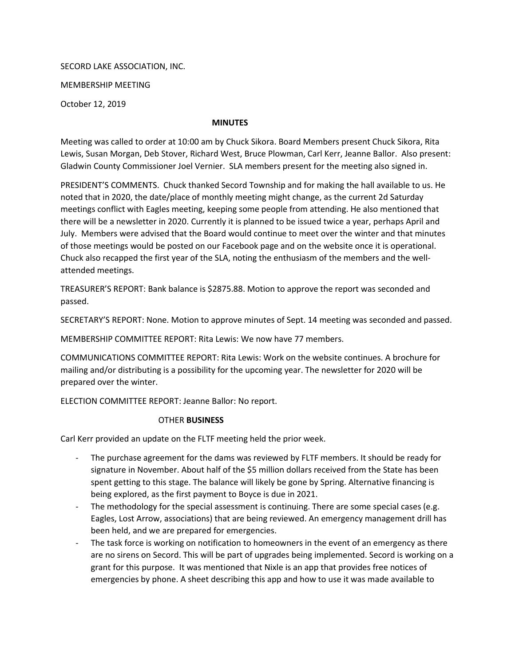SECORD LAKE ASSOCIATION, INC.

MEMBERSHIP MEETING

October 12, 2019

## MINUTES

Meeting was called to order at 10:00 am by Chuck Sikora. Board Members present Chuck Sikora, Rita Lewis, Susan Morgan, Deb Stover, Richard West, Bruce Plowman, Carl Kerr, Jeanne Ballor. Also present: Gladwin County Commissioner Joel Vernier. SLA members present for the meeting also signed in.

PRESIDENT'S COMMENTS. Chuck thanked Secord Township and for making the hall available to us. He noted that in 2020, the date/place of monthly meeting might change, as the current 2d Saturday meetings conflict with Eagles meeting, keeping some people from attending. He also mentioned that there will be a newsletter in 2020. Currently it is planned to be issued twice a year, perhaps April and July. Members were advised that the Board would continue to meet over the winter and that minutes of those meetings would be posted on our Facebook page and on the website once it is operational. Chuck also recapped the first year of the SLA, noting the enthusiasm of the members and the wellattended meetings.

TREASURER'S REPORT: Bank balance is \$2875.88. Motion to approve the report was seconded and passed.

SECRETARY'S REPORT: None. Motion to approve minutes of Sept. 14 meeting was seconded and passed.

MEMBERSHIP COMMITTEE REPORT: Rita Lewis: We now have 77 members.

COMMUNICATIONS COMMITTEE REPORT: Rita Lewis: Work on the website continues. A brochure for mailing and/or distributing is a possibility for the upcoming year. The newsletter for 2020 will be prepared over the winter.

ELECTION COMMITTEE REPORT: Jeanne Ballor: No report.

## OTHER BUSINESS

Carl Kerr provided an update on the FLTF meeting held the prior week.

- The purchase agreement for the dams was reviewed by FLTF members. It should be ready for signature in November. About half of the \$5 million dollars received from the State has been spent getting to this stage. The balance will likely be gone by Spring. Alternative financing is being explored, as the first payment to Boyce is due in 2021.
- The methodology for the special assessment is continuing. There are some special cases (e.g. Eagles, Lost Arrow, associations) that are being reviewed. An emergency management drill has been held, and we are prepared for emergencies.
- The task force is working on notification to homeowners in the event of an emergency as there are no sirens on Secord. This will be part of upgrades being implemented. Secord is working on a grant for this purpose. It was mentioned that Nixle is an app that provides free notices of emergencies by phone. A sheet describing this app and how to use it was made available to